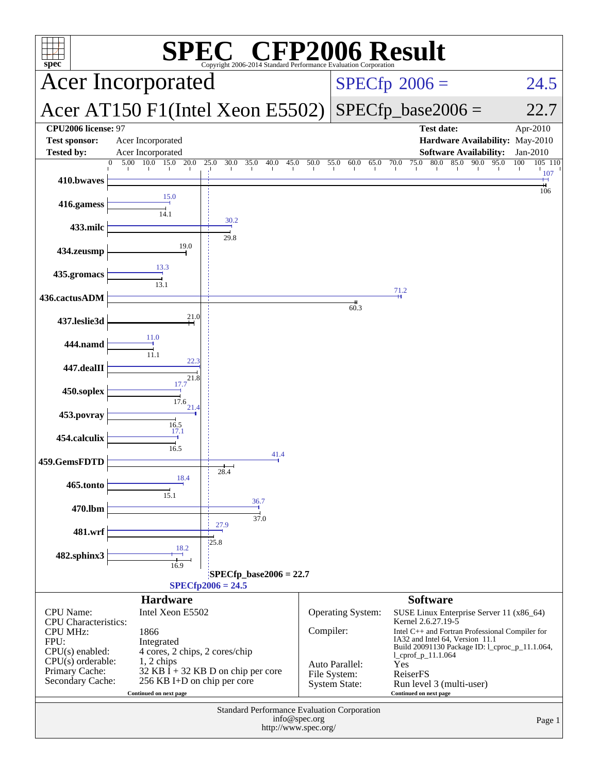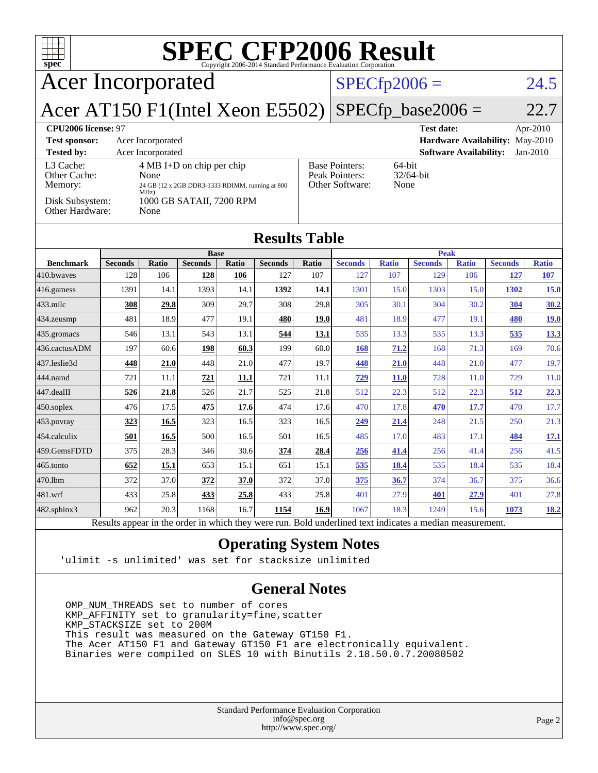| <b>SPEC CFP2006 Result</b><br>TTT<br>$spec^*$<br>Copyright 2006-2014 Standard Performance Evaluation Corporation |                       |                   |                             |              |                       |                |                                                                |                     |                       |                               |                                 |                     |
|------------------------------------------------------------------------------------------------------------------|-----------------------|-------------------|-----------------------------|--------------|-----------------------|----------------|----------------------------------------------------------------|---------------------|-----------------------|-------------------------------|---------------------------------|---------------------|
| <b>Acer Incorporated</b>                                                                                         |                       |                   |                             |              |                       | $SPECfp2006 =$ |                                                                |                     |                       | 24.5                          |                                 |                     |
| Acer AT150 F1(Intel Xeon E5502)                                                                                  |                       |                   |                             |              |                       |                |                                                                |                     | $SPECfp\_base2006 =$  |                               |                                 | 22.7                |
| CPU <sub>2006</sub> license: 97                                                                                  |                       |                   |                             |              |                       |                |                                                                |                     | <b>Test date:</b>     |                               |                                 | Apr-2010            |
| <b>Test sponsor:</b>                                                                                             |                       | Acer Incorporated |                             |              |                       |                |                                                                |                     |                       |                               | Hardware Availability: May-2010 |                     |
| <b>Tested by:</b><br>L <sub>3</sub> Cache:                                                                       |                       | Acer Incorporated | $4 MB I+D$ on chip per chip |              |                       |                |                                                                |                     |                       | <b>Software Availability:</b> |                                 | Jan-2010            |
| Other Cache:                                                                                                     |                       | None              |                             |              |                       |                | <b>Base Pointers:</b><br>64-bit<br>32/64-bit<br>Peak Pointers: |                     |                       |                               |                                 |                     |
| Other Software:<br>Memory:<br>24 GB (12 x 2GB DDR3-1333 RDIMM, running at 800<br>MHz)                            |                       |                   |                             |              |                       | None           |                                                                |                     |                       |                               |                                 |                     |
| Disk Subsystem:<br>Other Hardware:                                                                               |                       | None              | 1000 GB SATAII, 7200 RPM    |              |                       |                |                                                                |                     |                       |                               |                                 |                     |
| <b>Results Table</b>                                                                                             |                       |                   |                             |              |                       |                |                                                                |                     |                       |                               |                                 |                     |
|                                                                                                                  |                       |                   | <b>Base</b>                 |              |                       |                | <b>Peak</b>                                                    |                     |                       |                               |                                 |                     |
| <b>Benchmark</b><br>410.bwaves                                                                                   | <b>Seconds</b><br>128 | Ratio<br>106      | <b>Seconds</b><br>128       | Ratio<br>106 | <b>Seconds</b><br>127 | Ratio<br>107   | <b>Seconds</b><br>127                                          | <b>Ratio</b><br>107 | <b>Seconds</b><br>129 | <b>Ratio</b><br>106           | <b>Seconds</b><br>127           | <b>Ratio</b><br>107 |
| 416.gamess                                                                                                       | 1391                  | 14.1              | 1393                        | 14.1         | 1392                  | 14.1           | 1301                                                           | 15.0                | 1303                  | 15.0                          | 1302                            | <b>15.0</b>         |
| 433.milc                                                                                                         | 308                   | 29.8              | 309                         | 29.7         | 308                   | 29.8           | 305                                                            | 30.1                | 304                   | 30.2                          | 304                             | 30.2                |
| 434.zeusmp                                                                                                       | 481                   | 18.9              | 477                         | 19.1         | 480                   | 19.0           | 481                                                            | 18.9                | 477                   | 19.1                          | 480                             | 19.0                |
| 435.gromacs                                                                                                      | 546                   | 13.1              | 543                         | 13.1         | 544                   | 13.1           | 535                                                            | 13.3                | 535                   | 13.3                          | 535                             | 13.3                |
| 436.cactusADM                                                                                                    | 197                   | 60.6              | 198                         | 60.3         | 199                   | 60.0           | <b>168</b>                                                     | 71.2                | 168                   | 71.3                          | 169                             | 70.6                |
| 437.leslie3d                                                                                                     | 448                   | 21.0              | 448                         | 21.0         | 477                   | 19.7           | <u>448</u>                                                     | 21.0                | 448                   | 21.0                          | 477                             | 19.7                |
| 444.namd                                                                                                         | 721                   | 11.1              | 721                         | 11.1         | 721                   | 11.1           | 729                                                            | <b>11.0</b>         | 728                   | 11.0                          | 729                             | 11.0                |
| 447.dealII                                                                                                       | 526                   | 21.8              | 526                         | 21.7         | 525                   | 21.8           | 512                                                            | 22.3                | 512                   | 22.3                          | 512                             | 22.3                |
| 450.soplex                                                                                                       | 476                   | 17.5              | 475                         | 17.6         | 474                   | 17.6           | 470                                                            | 17.8                | 470                   | 17.7                          | 470                             | 17.7                |
| 453.povray                                                                                                       | 323                   | 16.5              | 323                         | 16.5         | 323                   | 16.5           | 249                                                            | 21.4                | 248                   | 21.5                          | 250                             | 21.3                |
| 454.calculix                                                                                                     | 501                   | 16.5              | 500                         | 16.5         | 501                   | 16.5           | 485                                                            | 17.0                | 483                   | 17.1                          | 484                             | 17.1                |
| 459.GemsFDTD                                                                                                     | 375                   | 28.3              | 346                         | 30.6         | 374                   | 28.4           | 256                                                            | 41.4                | 256                   | 41.4                          | 256                             | 41.5                |
| 465.tonto                                                                                                        | 652                   | 15.1              | 653                         | 15.1         | 651                   | 15.1           | 535                                                            | <b>18.4</b>         | 535                   | 18.4                          | 535                             | 18.4                |
| 470.1bm                                                                                                          | 372                   | 37.0              | 372                         | 37.0         | 372                   | 37.0           | 375                                                            | 36.7                | 374                   | 36.7                          | 375                             | 36.6                |
| 481.wrf                                                                                                          | 433                   | 25.8              | 433                         | 25.8         | 433                   | 25.8           | 401                                                            | 27.9                | 401                   | 27.9                          | 401                             | 27.8                |
| 482.sphinx3                                                                                                      | 962                   | 20.3              | 1168                        | 16.7         | 1154                  | 16.9           | 1067                                                           | 18.3                | 1249                  | 15.6                          | 1073                            | 18.2                |

**[Operating System Notes](http://www.spec.org/auto/cpu2006/Docs/result-fields.html#OperatingSystemNotes)**

'ulimit -s unlimited' was set for stacksize unlimited

### **[General Notes](http://www.spec.org/auto/cpu2006/Docs/result-fields.html#GeneralNotes)**

OMP NUM\_THREADS set to number of cores KMP\_AFFINITY set to granularity=fine,scatter KMP\_STACKSIZE set to 200M This result was measured on the Gateway GT150 F1. The Acer AT150 F1 and Gateway GT150 F1 are electronically equivalent. Binaries were compiled on SLES 10 with Binutils 2.18.50.0.7.20080502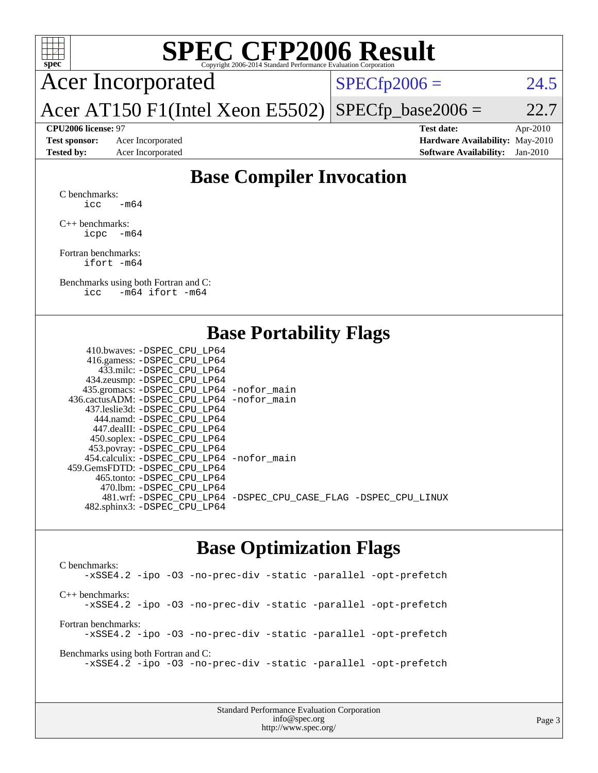

# **[SPEC CFP2006 Result](http://www.spec.org/auto/cpu2006/Docs/result-fields.html#SPECCFP2006Result)**

Acer Incorporated

 $SPECTp2006 = 24.5$ 

Acer AT150 F1(Intel Xeon E5502)  $SPECTp\_base2006 = 22.7$ 

**[CPU2006 license:](http://www.spec.org/auto/cpu2006/Docs/result-fields.html#CPU2006license)** 97 **[Test date:](http://www.spec.org/auto/cpu2006/Docs/result-fields.html#Testdate)** Apr-2010 **[Test sponsor:](http://www.spec.org/auto/cpu2006/Docs/result-fields.html#Testsponsor)** Acer Incorporated **[Hardware Availability:](http://www.spec.org/auto/cpu2006/Docs/result-fields.html#HardwareAvailability)** May-2010 **[Tested by:](http://www.spec.org/auto/cpu2006/Docs/result-fields.html#Testedby)** Acer Incorporated **[Software Availability:](http://www.spec.org/auto/cpu2006/Docs/result-fields.html#SoftwareAvailability)** Jan-2010

# **[Base Compiler Invocation](http://www.spec.org/auto/cpu2006/Docs/result-fields.html#BaseCompilerInvocation)**

[C benchmarks](http://www.spec.org/auto/cpu2006/Docs/result-fields.html#Cbenchmarks): icc  $-m64$ 

[C++ benchmarks:](http://www.spec.org/auto/cpu2006/Docs/result-fields.html#CXXbenchmarks) [icpc -m64](http://www.spec.org/cpu2006/results/res2010q3/cpu2006-20100608-11697.flags.html#user_CXXbase_intel_icpc_64bit_bedb90c1146cab66620883ef4f41a67e)

[Fortran benchmarks](http://www.spec.org/auto/cpu2006/Docs/result-fields.html#Fortranbenchmarks): [ifort -m64](http://www.spec.org/cpu2006/results/res2010q3/cpu2006-20100608-11697.flags.html#user_FCbase_intel_ifort_64bit_ee9d0fb25645d0210d97eb0527dcc06e)

[Benchmarks using both Fortran and C](http://www.spec.org/auto/cpu2006/Docs/result-fields.html#BenchmarksusingbothFortranandC): [icc -m64](http://www.spec.org/cpu2006/results/res2010q3/cpu2006-20100608-11697.flags.html#user_CC_FCbase_intel_icc_64bit_0b7121f5ab7cfabee23d88897260401c) [ifort -m64](http://www.spec.org/cpu2006/results/res2010q3/cpu2006-20100608-11697.flags.html#user_CC_FCbase_intel_ifort_64bit_ee9d0fb25645d0210d97eb0527dcc06e)

## **[Base Portability Flags](http://www.spec.org/auto/cpu2006/Docs/result-fields.html#BasePortabilityFlags)**

| 410.bwaves: -DSPEC CPU LP64                 |                                                                |
|---------------------------------------------|----------------------------------------------------------------|
| 416.gamess: - DSPEC_CPU_LP64                |                                                                |
| 433.milc: -DSPEC CPU LP64                   |                                                                |
| 434.zeusmp: -DSPEC_CPU_LP64                 |                                                                |
| 435.gromacs: -DSPEC_CPU_LP64 -nofor_main    |                                                                |
| 436.cactusADM: -DSPEC CPU LP64 -nofor main  |                                                                |
| 437.leslie3d: -DSPEC CPU LP64               |                                                                |
| 444.namd: -DSPEC CPU LP64                   |                                                                |
| 447.dealII: -DSPEC CPU LP64                 |                                                                |
| 450.soplex: -DSPEC_CPU_LP64                 |                                                                |
| 453.povray: -DSPEC_CPU_LP64                 |                                                                |
| 454.calculix: - DSPEC CPU LP64 - nofor main |                                                                |
| 459.GemsFDTD: -DSPEC CPU LP64               |                                                                |
| 465.tonto: - DSPEC CPU LP64                 |                                                                |
| 470.1bm: - DSPEC CPU LP64                   |                                                                |
|                                             | 481.wrf: -DSPEC_CPU_LP64 -DSPEC_CPU_CASE_FLAG -DSPEC_CPU_LINUX |
| 482.sphinx3: -DSPEC_CPU_LP64                |                                                                |
|                                             |                                                                |

## **[Base Optimization Flags](http://www.spec.org/auto/cpu2006/Docs/result-fields.html#BaseOptimizationFlags)**

[C benchmarks](http://www.spec.org/auto/cpu2006/Docs/result-fields.html#Cbenchmarks): [-xSSE4.2](http://www.spec.org/cpu2006/results/res2010q3/cpu2006-20100608-11697.flags.html#user_CCbase_f-xSSE42_f91528193cf0b216347adb8b939d4107) [-ipo](http://www.spec.org/cpu2006/results/res2010q3/cpu2006-20100608-11697.flags.html#user_CCbase_f-ipo) [-O3](http://www.spec.org/cpu2006/results/res2010q3/cpu2006-20100608-11697.flags.html#user_CCbase_f-O3) [-no-prec-div](http://www.spec.org/cpu2006/results/res2010q3/cpu2006-20100608-11697.flags.html#user_CCbase_f-no-prec-div) [-static](http://www.spec.org/cpu2006/results/res2010q3/cpu2006-20100608-11697.flags.html#user_CCbase_f-static) [-parallel](http://www.spec.org/cpu2006/results/res2010q3/cpu2006-20100608-11697.flags.html#user_CCbase_f-parallel) [-opt-prefetch](http://www.spec.org/cpu2006/results/res2010q3/cpu2006-20100608-11697.flags.html#user_CCbase_f-opt-prefetch) [C++ benchmarks:](http://www.spec.org/auto/cpu2006/Docs/result-fields.html#CXXbenchmarks) [-xSSE4.2](http://www.spec.org/cpu2006/results/res2010q3/cpu2006-20100608-11697.flags.html#user_CXXbase_f-xSSE42_f91528193cf0b216347adb8b939d4107) [-ipo](http://www.spec.org/cpu2006/results/res2010q3/cpu2006-20100608-11697.flags.html#user_CXXbase_f-ipo) [-O3](http://www.spec.org/cpu2006/results/res2010q3/cpu2006-20100608-11697.flags.html#user_CXXbase_f-O3) [-no-prec-div](http://www.spec.org/cpu2006/results/res2010q3/cpu2006-20100608-11697.flags.html#user_CXXbase_f-no-prec-div) [-static](http://www.spec.org/cpu2006/results/res2010q3/cpu2006-20100608-11697.flags.html#user_CXXbase_f-static) [-parallel](http://www.spec.org/cpu2006/results/res2010q3/cpu2006-20100608-11697.flags.html#user_CXXbase_f-parallel) [-opt-prefetch](http://www.spec.org/cpu2006/results/res2010q3/cpu2006-20100608-11697.flags.html#user_CXXbase_f-opt-prefetch) [Fortran benchmarks](http://www.spec.org/auto/cpu2006/Docs/result-fields.html#Fortranbenchmarks): [-xSSE4.2](http://www.spec.org/cpu2006/results/res2010q3/cpu2006-20100608-11697.flags.html#user_FCbase_f-xSSE42_f91528193cf0b216347adb8b939d4107) [-ipo](http://www.spec.org/cpu2006/results/res2010q3/cpu2006-20100608-11697.flags.html#user_FCbase_f-ipo) [-O3](http://www.spec.org/cpu2006/results/res2010q3/cpu2006-20100608-11697.flags.html#user_FCbase_f-O3) [-no-prec-div](http://www.spec.org/cpu2006/results/res2010q3/cpu2006-20100608-11697.flags.html#user_FCbase_f-no-prec-div) [-static](http://www.spec.org/cpu2006/results/res2010q3/cpu2006-20100608-11697.flags.html#user_FCbase_f-static) [-parallel](http://www.spec.org/cpu2006/results/res2010q3/cpu2006-20100608-11697.flags.html#user_FCbase_f-parallel) [-opt-prefetch](http://www.spec.org/cpu2006/results/res2010q3/cpu2006-20100608-11697.flags.html#user_FCbase_f-opt-prefetch) [Benchmarks using both Fortran and C](http://www.spec.org/auto/cpu2006/Docs/result-fields.html#BenchmarksusingbothFortranandC): [-xSSE4.2](http://www.spec.org/cpu2006/results/res2010q3/cpu2006-20100608-11697.flags.html#user_CC_FCbase_f-xSSE42_f91528193cf0b216347adb8b939d4107) [-ipo](http://www.spec.org/cpu2006/results/res2010q3/cpu2006-20100608-11697.flags.html#user_CC_FCbase_f-ipo) [-O3](http://www.spec.org/cpu2006/results/res2010q3/cpu2006-20100608-11697.flags.html#user_CC_FCbase_f-O3) [-no-prec-div](http://www.spec.org/cpu2006/results/res2010q3/cpu2006-20100608-11697.flags.html#user_CC_FCbase_f-no-prec-div) [-static](http://www.spec.org/cpu2006/results/res2010q3/cpu2006-20100608-11697.flags.html#user_CC_FCbase_f-static) [-parallel](http://www.spec.org/cpu2006/results/res2010q3/cpu2006-20100608-11697.flags.html#user_CC_FCbase_f-parallel) [-opt-prefetch](http://www.spec.org/cpu2006/results/res2010q3/cpu2006-20100608-11697.flags.html#user_CC_FCbase_f-opt-prefetch)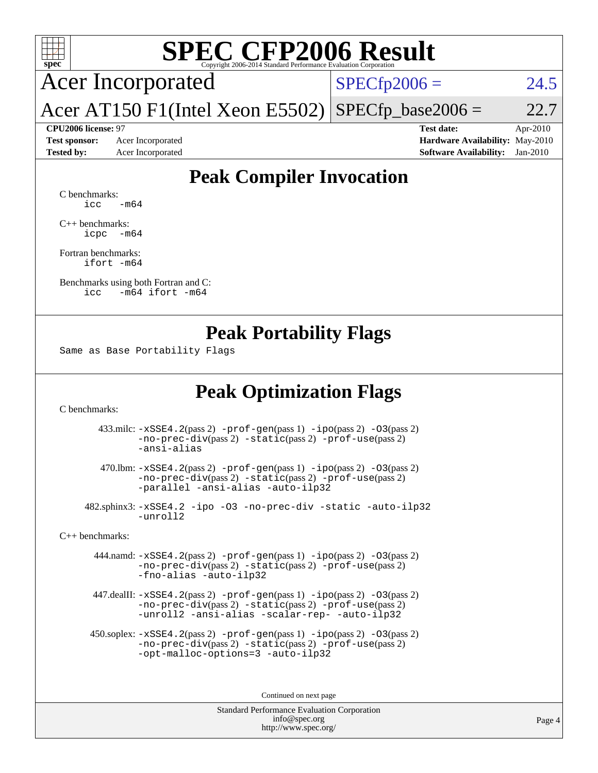

# **[SPEC CFP2006 Result](http://www.spec.org/auto/cpu2006/Docs/result-fields.html#SPECCFP2006Result)**

Acer Incorporated

 $SPECfp2006 = 24.5$  $SPECfp2006 = 24.5$ 

Acer AT150 F1(Intel Xeon E5502)  $SPECTp\_base2006 = 22.7$ 

**[Test sponsor:](http://www.spec.org/auto/cpu2006/Docs/result-fields.html#Testsponsor)** Acer Incorporated **[Hardware Availability:](http://www.spec.org/auto/cpu2006/Docs/result-fields.html#HardwareAvailability)** May-2010

**[CPU2006 license:](http://www.spec.org/auto/cpu2006/Docs/result-fields.html#CPU2006license)** 97 **[Test date:](http://www.spec.org/auto/cpu2006/Docs/result-fields.html#Testdate)** Apr-2010 **[Tested by:](http://www.spec.org/auto/cpu2006/Docs/result-fields.html#Testedby)** Acer Incorporated **[Software Availability:](http://www.spec.org/auto/cpu2006/Docs/result-fields.html#SoftwareAvailability)** Jan-2010

# **[Peak Compiler Invocation](http://www.spec.org/auto/cpu2006/Docs/result-fields.html#PeakCompilerInvocation)**

[C benchmarks](http://www.spec.org/auto/cpu2006/Docs/result-fields.html#Cbenchmarks):  $\text{icc}$   $-\text{m64}$ 

[C++ benchmarks:](http://www.spec.org/auto/cpu2006/Docs/result-fields.html#CXXbenchmarks) [icpc -m64](http://www.spec.org/cpu2006/results/res2010q3/cpu2006-20100608-11697.flags.html#user_CXXpeak_intel_icpc_64bit_bedb90c1146cab66620883ef4f41a67e)

[Fortran benchmarks](http://www.spec.org/auto/cpu2006/Docs/result-fields.html#Fortranbenchmarks): [ifort -m64](http://www.spec.org/cpu2006/results/res2010q3/cpu2006-20100608-11697.flags.html#user_FCpeak_intel_ifort_64bit_ee9d0fb25645d0210d97eb0527dcc06e)

[Benchmarks using both Fortran and C](http://www.spec.org/auto/cpu2006/Docs/result-fields.html#BenchmarksusingbothFortranandC): [icc -m64](http://www.spec.org/cpu2006/results/res2010q3/cpu2006-20100608-11697.flags.html#user_CC_FCpeak_intel_icc_64bit_0b7121f5ab7cfabee23d88897260401c) [ifort -m64](http://www.spec.org/cpu2006/results/res2010q3/cpu2006-20100608-11697.flags.html#user_CC_FCpeak_intel_ifort_64bit_ee9d0fb25645d0210d97eb0527dcc06e)

### **[Peak Portability Flags](http://www.spec.org/auto/cpu2006/Docs/result-fields.html#PeakPortabilityFlags)**

Same as Base Portability Flags

# **[Peak Optimization Flags](http://www.spec.org/auto/cpu2006/Docs/result-fields.html#PeakOptimizationFlags)**

[C benchmarks](http://www.spec.org/auto/cpu2006/Docs/result-fields.html#Cbenchmarks):

 433.milc: [-xSSE4.2](http://www.spec.org/cpu2006/results/res2010q3/cpu2006-20100608-11697.flags.html#user_peakPASS2_CFLAGSPASS2_LDFLAGS433_milc_f-xSSE42_f91528193cf0b216347adb8b939d4107)(pass 2) [-prof-gen](http://www.spec.org/cpu2006/results/res2010q3/cpu2006-20100608-11697.flags.html#user_peakPASS1_CFLAGSPASS1_LDFLAGS433_milc_prof_gen_e43856698f6ca7b7e442dfd80e94a8fc)(pass 1) [-ipo](http://www.spec.org/cpu2006/results/res2010q3/cpu2006-20100608-11697.flags.html#user_peakPASS2_CFLAGSPASS2_LDFLAGS433_milc_f-ipo)(pass 2) [-O3](http://www.spec.org/cpu2006/results/res2010q3/cpu2006-20100608-11697.flags.html#user_peakPASS2_CFLAGSPASS2_LDFLAGS433_milc_f-O3)(pass 2) [-no-prec-div](http://www.spec.org/cpu2006/results/res2010q3/cpu2006-20100608-11697.flags.html#user_peakPASS2_CFLAGSPASS2_LDFLAGS433_milc_f-no-prec-div)(pass 2) [-static](http://www.spec.org/cpu2006/results/res2010q3/cpu2006-20100608-11697.flags.html#user_peakPASS2_CFLAGSPASS2_LDFLAGS433_milc_f-static)(pass 2) [-prof-use](http://www.spec.org/cpu2006/results/res2010q3/cpu2006-20100608-11697.flags.html#user_peakPASS2_CFLAGSPASS2_LDFLAGS433_milc_prof_use_bccf7792157ff70d64e32fe3e1250b55)(pass 2) [-ansi-alias](http://www.spec.org/cpu2006/results/res2010q3/cpu2006-20100608-11697.flags.html#user_peakOPTIMIZE433_milc_f-ansi-alias)

 470.lbm: [-xSSE4.2](http://www.spec.org/cpu2006/results/res2010q3/cpu2006-20100608-11697.flags.html#user_peakPASS2_CFLAGSPASS2_LDFLAGS470_lbm_f-xSSE42_f91528193cf0b216347adb8b939d4107)(pass 2) [-prof-gen](http://www.spec.org/cpu2006/results/res2010q3/cpu2006-20100608-11697.flags.html#user_peakPASS1_CFLAGSPASS1_LDFLAGS470_lbm_prof_gen_e43856698f6ca7b7e442dfd80e94a8fc)(pass 1) [-ipo](http://www.spec.org/cpu2006/results/res2010q3/cpu2006-20100608-11697.flags.html#user_peakPASS2_CFLAGSPASS2_LDFLAGS470_lbm_f-ipo)(pass 2) [-O3](http://www.spec.org/cpu2006/results/res2010q3/cpu2006-20100608-11697.flags.html#user_peakPASS2_CFLAGSPASS2_LDFLAGS470_lbm_f-O3)(pass 2) [-no-prec-div](http://www.spec.org/cpu2006/results/res2010q3/cpu2006-20100608-11697.flags.html#user_peakPASS2_CFLAGSPASS2_LDFLAGS470_lbm_f-no-prec-div)(pass 2) [-static](http://www.spec.org/cpu2006/results/res2010q3/cpu2006-20100608-11697.flags.html#user_peakPASS2_CFLAGSPASS2_LDFLAGS470_lbm_f-static)(pass 2) [-prof-use](http://www.spec.org/cpu2006/results/res2010q3/cpu2006-20100608-11697.flags.html#user_peakPASS2_CFLAGSPASS2_LDFLAGS470_lbm_prof_use_bccf7792157ff70d64e32fe3e1250b55)(pass 2) [-parallel](http://www.spec.org/cpu2006/results/res2010q3/cpu2006-20100608-11697.flags.html#user_peakOPTIMIZE470_lbm_f-parallel) [-ansi-alias](http://www.spec.org/cpu2006/results/res2010q3/cpu2006-20100608-11697.flags.html#user_peakOPTIMIZE470_lbm_f-ansi-alias) [-auto-ilp32](http://www.spec.org/cpu2006/results/res2010q3/cpu2006-20100608-11697.flags.html#user_peakCOPTIMIZE470_lbm_f-auto-ilp32)

 482.sphinx3: [-xSSE4.2](http://www.spec.org/cpu2006/results/res2010q3/cpu2006-20100608-11697.flags.html#user_peakOPTIMIZE482_sphinx3_f-xSSE42_f91528193cf0b216347adb8b939d4107) [-ipo](http://www.spec.org/cpu2006/results/res2010q3/cpu2006-20100608-11697.flags.html#user_peakOPTIMIZE482_sphinx3_f-ipo) [-O3](http://www.spec.org/cpu2006/results/res2010q3/cpu2006-20100608-11697.flags.html#user_peakOPTIMIZE482_sphinx3_f-O3) [-no-prec-div](http://www.spec.org/cpu2006/results/res2010q3/cpu2006-20100608-11697.flags.html#user_peakOPTIMIZE482_sphinx3_f-no-prec-div) [-static](http://www.spec.org/cpu2006/results/res2010q3/cpu2006-20100608-11697.flags.html#user_peakOPTIMIZE482_sphinx3_f-static) [-auto-ilp32](http://www.spec.org/cpu2006/results/res2010q3/cpu2006-20100608-11697.flags.html#user_peakCOPTIMIZE482_sphinx3_f-auto-ilp32) [-unroll2](http://www.spec.org/cpu2006/results/res2010q3/cpu2006-20100608-11697.flags.html#user_peakCOPTIMIZE482_sphinx3_f-unroll_784dae83bebfb236979b41d2422d7ec2)

[C++ benchmarks:](http://www.spec.org/auto/cpu2006/Docs/result-fields.html#CXXbenchmarks)

 444.namd: [-xSSE4.2](http://www.spec.org/cpu2006/results/res2010q3/cpu2006-20100608-11697.flags.html#user_peakPASS2_CXXFLAGSPASS2_LDFLAGS444_namd_f-xSSE42_f91528193cf0b216347adb8b939d4107)(pass 2) [-prof-gen](http://www.spec.org/cpu2006/results/res2010q3/cpu2006-20100608-11697.flags.html#user_peakPASS1_CXXFLAGSPASS1_LDFLAGS444_namd_prof_gen_e43856698f6ca7b7e442dfd80e94a8fc)(pass 1) [-ipo](http://www.spec.org/cpu2006/results/res2010q3/cpu2006-20100608-11697.flags.html#user_peakPASS2_CXXFLAGSPASS2_LDFLAGS444_namd_f-ipo)(pass 2) [-O3](http://www.spec.org/cpu2006/results/res2010q3/cpu2006-20100608-11697.flags.html#user_peakPASS2_CXXFLAGSPASS2_LDFLAGS444_namd_f-O3)(pass 2) [-no-prec-div](http://www.spec.org/cpu2006/results/res2010q3/cpu2006-20100608-11697.flags.html#user_peakPASS2_CXXFLAGSPASS2_LDFLAGS444_namd_f-no-prec-div)(pass 2) [-static](http://www.spec.org/cpu2006/results/res2010q3/cpu2006-20100608-11697.flags.html#user_peakPASS2_CXXFLAGSPASS2_LDFLAGS444_namd_f-static)(pass 2) [-prof-use](http://www.spec.org/cpu2006/results/res2010q3/cpu2006-20100608-11697.flags.html#user_peakPASS2_CXXFLAGSPASS2_LDFLAGS444_namd_prof_use_bccf7792157ff70d64e32fe3e1250b55)(pass 2) [-fno-alias](http://www.spec.org/cpu2006/results/res2010q3/cpu2006-20100608-11697.flags.html#user_peakOPTIMIZE444_namd_f-no-alias_694e77f6c5a51e658e82ccff53a9e63a) [-auto-ilp32](http://www.spec.org/cpu2006/results/res2010q3/cpu2006-20100608-11697.flags.html#user_peakCXXOPTIMIZE444_namd_f-auto-ilp32)

 447.dealII: [-xSSE4.2](http://www.spec.org/cpu2006/results/res2010q3/cpu2006-20100608-11697.flags.html#user_peakPASS2_CXXFLAGSPASS2_LDFLAGS447_dealII_f-xSSE42_f91528193cf0b216347adb8b939d4107)(pass 2) [-prof-gen](http://www.spec.org/cpu2006/results/res2010q3/cpu2006-20100608-11697.flags.html#user_peakPASS1_CXXFLAGSPASS1_LDFLAGS447_dealII_prof_gen_e43856698f6ca7b7e442dfd80e94a8fc)(pass 1) [-ipo](http://www.spec.org/cpu2006/results/res2010q3/cpu2006-20100608-11697.flags.html#user_peakPASS2_CXXFLAGSPASS2_LDFLAGS447_dealII_f-ipo)(pass 2) [-O3](http://www.spec.org/cpu2006/results/res2010q3/cpu2006-20100608-11697.flags.html#user_peakPASS2_CXXFLAGSPASS2_LDFLAGS447_dealII_f-O3)(pass 2) [-no-prec-div](http://www.spec.org/cpu2006/results/res2010q3/cpu2006-20100608-11697.flags.html#user_peakPASS2_CXXFLAGSPASS2_LDFLAGS447_dealII_f-no-prec-div)(pass 2) [-static](http://www.spec.org/cpu2006/results/res2010q3/cpu2006-20100608-11697.flags.html#user_peakPASS2_CXXFLAGSPASS2_LDFLAGS447_dealII_f-static)(pass 2) [-prof-use](http://www.spec.org/cpu2006/results/res2010q3/cpu2006-20100608-11697.flags.html#user_peakPASS2_CXXFLAGSPASS2_LDFLAGS447_dealII_prof_use_bccf7792157ff70d64e32fe3e1250b55)(pass 2) [-unroll2](http://www.spec.org/cpu2006/results/res2010q3/cpu2006-20100608-11697.flags.html#user_peakOPTIMIZE447_dealII_f-unroll_784dae83bebfb236979b41d2422d7ec2) [-ansi-alias](http://www.spec.org/cpu2006/results/res2010q3/cpu2006-20100608-11697.flags.html#user_peakOPTIMIZE447_dealII_f-ansi-alias) [-scalar-rep-](http://www.spec.org/cpu2006/results/res2010q3/cpu2006-20100608-11697.flags.html#user_peakOPTIMIZE447_dealII_f-disablescalarrep_abbcad04450fb118e4809c81d83c8a1d) [-auto-ilp32](http://www.spec.org/cpu2006/results/res2010q3/cpu2006-20100608-11697.flags.html#user_peakCXXOPTIMIZE447_dealII_f-auto-ilp32)

 450.soplex: [-xSSE4.2](http://www.spec.org/cpu2006/results/res2010q3/cpu2006-20100608-11697.flags.html#user_peakPASS2_CXXFLAGSPASS2_LDFLAGS450_soplex_f-xSSE42_f91528193cf0b216347adb8b939d4107)(pass 2) [-prof-gen](http://www.spec.org/cpu2006/results/res2010q3/cpu2006-20100608-11697.flags.html#user_peakPASS1_CXXFLAGSPASS1_LDFLAGS450_soplex_prof_gen_e43856698f6ca7b7e442dfd80e94a8fc)(pass 1) [-ipo](http://www.spec.org/cpu2006/results/res2010q3/cpu2006-20100608-11697.flags.html#user_peakPASS2_CXXFLAGSPASS2_LDFLAGS450_soplex_f-ipo)(pass 2) [-O3](http://www.spec.org/cpu2006/results/res2010q3/cpu2006-20100608-11697.flags.html#user_peakPASS2_CXXFLAGSPASS2_LDFLAGS450_soplex_f-O3)(pass 2) [-no-prec-div](http://www.spec.org/cpu2006/results/res2010q3/cpu2006-20100608-11697.flags.html#user_peakPASS2_CXXFLAGSPASS2_LDFLAGS450_soplex_f-no-prec-div)(pass 2) [-static](http://www.spec.org/cpu2006/results/res2010q3/cpu2006-20100608-11697.flags.html#user_peakPASS2_CXXFLAGSPASS2_LDFLAGS450_soplex_f-static)(pass 2) [-prof-use](http://www.spec.org/cpu2006/results/res2010q3/cpu2006-20100608-11697.flags.html#user_peakPASS2_CXXFLAGSPASS2_LDFLAGS450_soplex_prof_use_bccf7792157ff70d64e32fe3e1250b55)(pass 2) [-opt-malloc-options=3](http://www.spec.org/cpu2006/results/res2010q3/cpu2006-20100608-11697.flags.html#user_peakOPTIMIZE450_soplex_f-opt-malloc-options_13ab9b803cf986b4ee62f0a5998c2238) [-auto-ilp32](http://www.spec.org/cpu2006/results/res2010q3/cpu2006-20100608-11697.flags.html#user_peakCXXOPTIMIZE450_soplex_f-auto-ilp32)

Continued on next page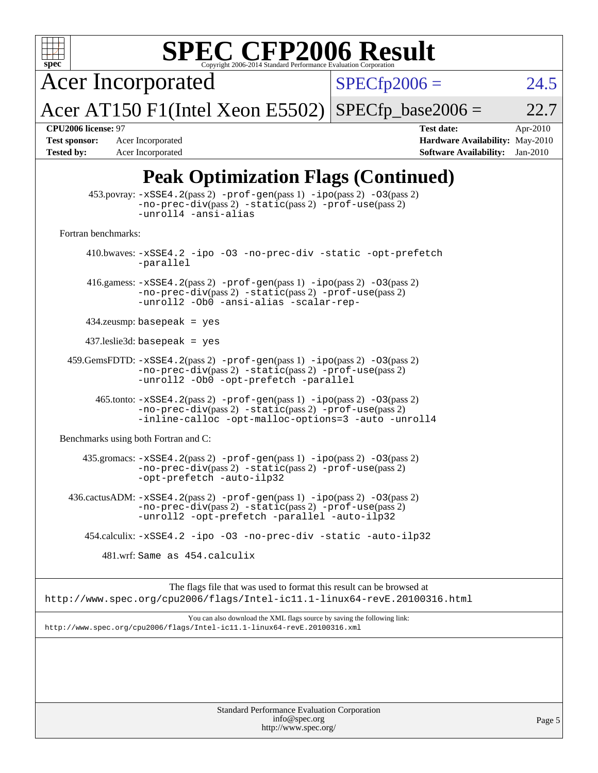| <b>SPEC CFP2006 Result</b><br>$spec^{\circ}$<br>Copyright 2006-2014 Standard Performance Evaluation Corporation                                                                                    |                                                                                                                 |
|----------------------------------------------------------------------------------------------------------------------------------------------------------------------------------------------------|-----------------------------------------------------------------------------------------------------------------|
| <b>Acer Incorporated</b>                                                                                                                                                                           | $SPECfp2006 =$<br>24.5                                                                                          |
| Acer AT150 F1(Intel Xeon E5502)                                                                                                                                                                    | $SPECfp\_base2006 =$<br>22.7                                                                                    |
| CPU2006 license: 97<br><b>Test sponsor:</b><br>Acer Incorporated<br><b>Tested by:</b><br>Acer Incorporated                                                                                         | <b>Test date:</b><br>Apr-2010<br>Hardware Availability: May-2010<br><b>Software Availability:</b><br>$Jan-2010$ |
| <b>Peak Optimization Flags (Continued)</b>                                                                                                                                                         |                                                                                                                 |
| 453.povray: -xSSE4.2(pass 2) -prof-gen(pass 1) -ipo(pass 2) -03(pass 2)<br>$-no-prec-div(pass 2) -static(pass 2) -prof-use(pass 2)$<br>-unroll4 -ansi-alias                                        |                                                                                                                 |
| Fortran benchmarks:                                                                                                                                                                                |                                                                                                                 |
| 410.bwaves: -xSSE4.2 -ipo -03 -no-prec-div -static -opt-prefetch<br>-parallel                                                                                                                      |                                                                                                                 |
| 416.gamess: $-xSSE4$ . 2(pass 2) $-prof-gen(pass 1) -ipo(pass 2) -O3(pass 2)$<br>-no-prec-div(pass 2) -static(pass 2) -prof-use(pass 2)<br>-unroll2 -Ob0 -ansi-alias -scalar-rep-                  |                                                                                                                 |
| $434$ .zeusmp: basepeak = yes                                                                                                                                                                      |                                                                                                                 |
| $437$ .leslie3d: basepeak = yes                                                                                                                                                                    |                                                                                                                 |
| 459.GemsFDTD: -xSSE4.2(pass 2) -prof-gen(pass 1) -ipo(pass 2) -03(pass 2)<br>-no-prec-div(pass 2) -static(pass 2) -prof-use(pass 2)<br>-unroll2 -0b0 -opt-prefetch -parallel                       |                                                                                                                 |
| $465$ .tonto: $-xSSE4$ . $2(pass 2)$ -prof-gen(pass 1) -ipo(pass 2) -03(pass 2)<br>$-no-prec-div(pass 2) -static(pass 2) -prof-use(pass 2)$<br>-inline-calloc -opt-malloc-options=3 -auto -unroll4 |                                                                                                                 |
| Benchmarks using both Fortran and C:                                                                                                                                                               |                                                                                                                 |
| 435.gromacs: -xSSE4.2(pass 2) -prof-gen(pass 1) -ipo(pass 2) -03(pass 2)<br>-no-prec-div(pass 2) -static(pass 2) -prof-use(pass 2)<br>-opt-prefetch -auto-ilp32                                    |                                                                                                                 |
| $436.cactusADM: -xSSE4.2(pass 2) -prof-gen(pass 1) -ipo(pass 2) -03(pass 2)$<br>$-no-prec-div(pass 2) -static(pass 2) -prot-use(pass 2)$<br>-unroll2 -opt-prefetch -parallel -auto-ilp32           |                                                                                                                 |
| 454.calculix: -xSSE4.2 -ipo -03 -no-prec-div -static -auto-ilp32                                                                                                                                   |                                                                                                                 |
| 481.wrf: Same as 454.calculix                                                                                                                                                                      |                                                                                                                 |
| The flags file that was used to format this result can be browsed at<br>http://www.spec.org/cpu2006/flags/Intel-ic11.1-linux64-revE.20100316.html                                                  |                                                                                                                 |
| You can also download the XML flags source by saving the following link:<br>http://www.spec.org/cpu2006/flags/Intel-ic11.1-linux64-revE.20100316.xml                                               |                                                                                                                 |
|                                                                                                                                                                                                    |                                                                                                                 |
|                                                                                                                                                                                                    |                                                                                                                 |
| Standard Performance Evaluation Corporation<br>info@spec.org<br>http://www.spec.org/                                                                                                               | Page 5                                                                                                          |